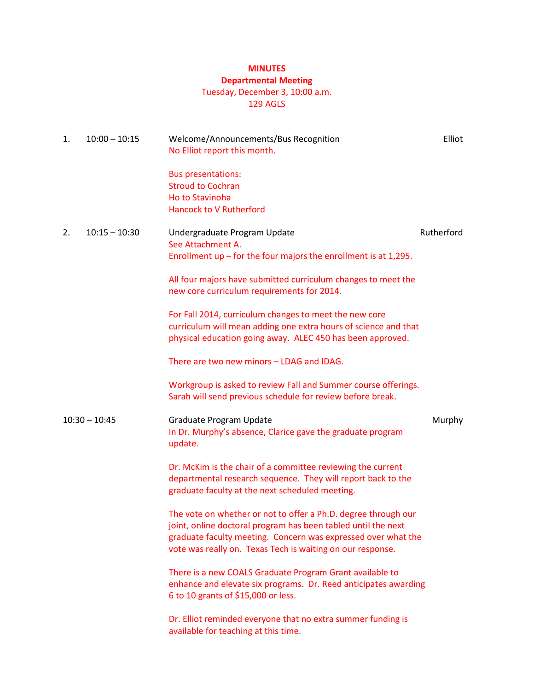# **MINUTES**

## **Departmental Meeting**

## Tuesday, December 3, 10:00 a.m.

129 AGLS

| 1.              | $10:00 - 10:15$ | Welcome/Announcements/Bus Recognition<br>No Elliot report this month.                                                                                                                                                                                          | Elliot     |
|-----------------|-----------------|----------------------------------------------------------------------------------------------------------------------------------------------------------------------------------------------------------------------------------------------------------------|------------|
|                 |                 | <b>Bus presentations:</b><br><b>Stroud to Cochran</b><br>Ho to Stavinoha<br><b>Hancock to V Rutherford</b>                                                                                                                                                     |            |
| 2.              | $10:15 - 10:30$ | Undergraduate Program Update<br>See Attachment A.<br>Enrollment $up$ – for the four majors the enrollment is at 1,295.                                                                                                                                         | Rutherford |
|                 |                 | All four majors have submitted curriculum changes to meet the<br>new core curriculum requirements for 2014.                                                                                                                                                    |            |
|                 |                 | For Fall 2014, curriculum changes to meet the new core<br>curriculum will mean adding one extra hours of science and that<br>physical education going away. ALEC 450 has been approved.                                                                        |            |
|                 |                 | There are two new minors - LDAG and IDAG.                                                                                                                                                                                                                      |            |
|                 |                 | Workgroup is asked to review Fall and Summer course offerings.<br>Sarah will send previous schedule for review before break.                                                                                                                                   |            |
| $10:30 - 10:45$ |                 | Graduate Program Update<br>In Dr. Murphy's absence, Clarice gave the graduate program<br>update.                                                                                                                                                               | Murphy     |
|                 |                 | Dr. McKim is the chair of a committee reviewing the current<br>departmental research sequence. They will report back to the<br>graduate faculty at the next scheduled meeting.                                                                                 |            |
|                 |                 | The vote on whether or not to offer a Ph.D. degree through our<br>joint, online doctoral program has been tabled until the next<br>graduate faculty meeting. Concern was expressed over what the<br>vote was really on. Texas Tech is waiting on our response. |            |
|                 |                 | There is a new COALS Graduate Program Grant available to<br>enhance and elevate six programs. Dr. Reed anticipates awarding<br>6 to 10 grants of \$15,000 or less.                                                                                             |            |
|                 |                 | Dr. Elliot reminded everyone that no extra summer funding is<br>available for teaching at this time.                                                                                                                                                           |            |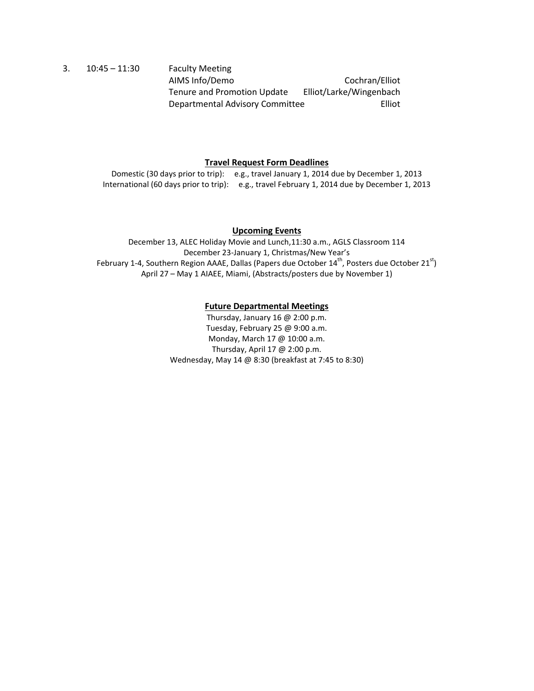3. 10:45 – 11:30 Faculty Meeting AIMS Info/Demo Cochran/Elliot Tenure and Promotion Update Elliot/Larke/Wingenbach Departmental Advisory Committee Filiot

### **Travel Request Form Deadlines**

Domestic (30 days prior to trip): e.g., travel January 1, 2014 due by December 1, 2013 International (60 days prior to trip): e.g., travel February 1, 2014 due by December 1, 2013

### **Upcoming Events**

December 13, ALEC Holiday Movie and Lunch,11:30 a.m., AGLS Classroom 114 December 23-January 1, Christmas/New Year's February 1-4, Southern Region AAAE, Dallas (Papers due October  $14^{th}$ , Posters due October  $21^{st}$ ) April 27 – May 1 AIAEE, Miami, (Abstracts/posters due by November 1)

### **Future Departmental Meetings**

Thursday, January 16 @ 2:00 p.m. Tuesday, February 25 @ 9:00 a.m. Monday, March 17 @ 10:00 a.m. Thursday, April 17 @ 2:00 p.m. Wednesday, May 14 @ 8:30 (breakfast at 7:45 to 8:30)